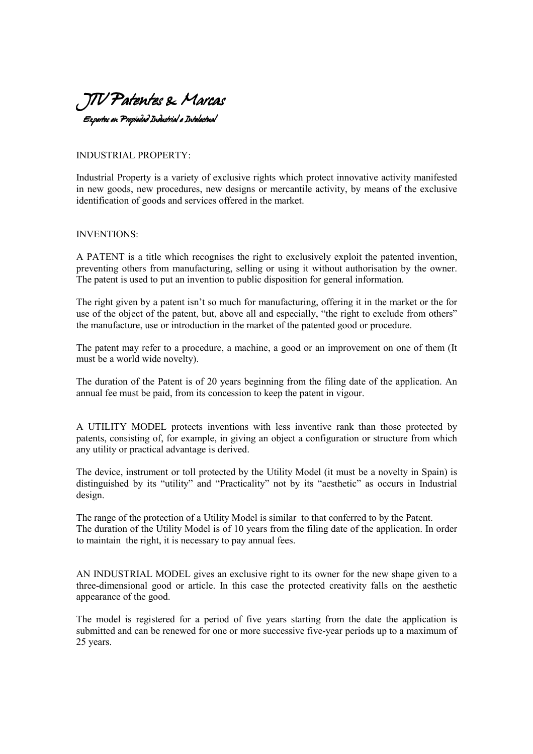

INDUSTRIAL PROPERTY:

Industrial Property is a variety of exclusive rights which protect innovative activity manifested in new goods, new procedures, new designs or mercantile activity, by means of the exclusive identification of goods and services offered in the market.

## INVENTIONS:

A PATENT is a title which recognises the right to exclusively exploit the patented invention, preventing others from manufacturing, selling or using it without authorisation by the owner. The patent is used to put an invention to public disposition for general information.

The right given by a patent isn't so much for manufacturing, offering it in the market or the for use of the object of the patent, but, above all and especially, "the right to exclude from others" the manufacture, use or introduction in the market of the patented good or procedure.

The patent may refer to a procedure, a machine, a good or an improvement on one of them (It must be a world wide novelty).

The duration of the Patent is of 20 years beginning from the filing date of the application. An annual fee must be paid, from its concession to keep the patent in vigour.

A UTILITY MODEL protects inventions with less inventive rank than those protected by patents, consisting of, for example, in giving an object a configuration or structure from which any utility or practical advantage is derived.

The device, instrument or toll protected by the Utility Model (it must be a novelty in Spain) is distinguished by its "utility" and "Practicality" not by its "aesthetic" as occurs in Industrial design.

The range of the protection of a Utility Model is similar to that conferred to by the Patent. The duration of the Utility Model is of 10 years from the filing date of the application. In order to maintain the right, it is necessary to pay annual fees.

AN INDUSTRIAL MODEL gives an exclusive right to its owner for the new shape given to a three-dimensional good or article. In this case the protected creativity falls on the aesthetic appearance of the good.

The model is registered for a period of five years starting from the date the application is submitted and can be renewed for one or more successive five-year periods up to a maximum of 25 years.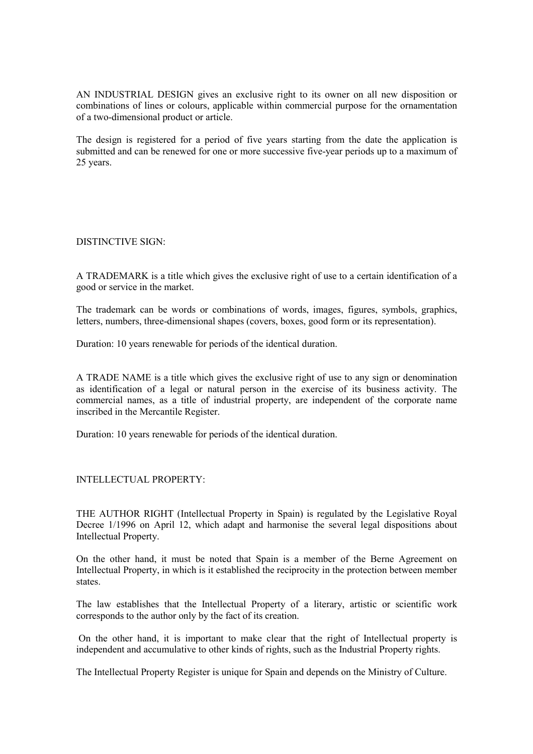AN INDUSTRIAL DESIGN gives an exclusive right to its owner on all new disposition or combinations of lines or colours, applicable within commercial purpose for the ornamentation of a two-dimensional product or article.

The design is registered for a period of five years starting from the date the application is submitted and can be renewed for one or more successive five-year periods up to a maximum of 25 years.

DISTINCTIVE SIGN:

A TRADEMARK is a title which gives the exclusive right of use to a certain identification of a good or service in the market.

The trademark can be words or combinations of words, images, figures, symbols, graphics, letters, numbers, three-dimensional shapes (covers, boxes, good form or its representation).

Duration: 10 years renewable for periods of the identical duration.

A TRADE NAME is a title which gives the exclusive right of use to any sign or denomination as identification of a legal or natural person in the exercise of its business activity. The commercial names, as a title of industrial property, are independent of the corporate name inscribed in the Mercantile Register.

Duration: 10 years renewable for periods of the identical duration.

## INTELLECTUAL PROPERTY:

THE AUTHOR RIGHT (Intellectual Property in Spain) is regulated by the Legislative Royal Decree 1/1996 on April 12, which adapt and harmonise the several legal dispositions about Intellectual Property.

On the other hand, it must be noted that Spain is a member of the Berne Agreement on Intellectual Property, in which is it established the reciprocity in the protection between member states.

The law establishes that the Intellectual Property of a literary, artistic or scientific work corresponds to the author only by the fact of its creation.

 On the other hand, it is important to make clear that the right of Intellectual property is independent and accumulative to other kinds of rights, such as the Industrial Property rights.

The Intellectual Property Register is unique for Spain and depends on the Ministry of Culture.